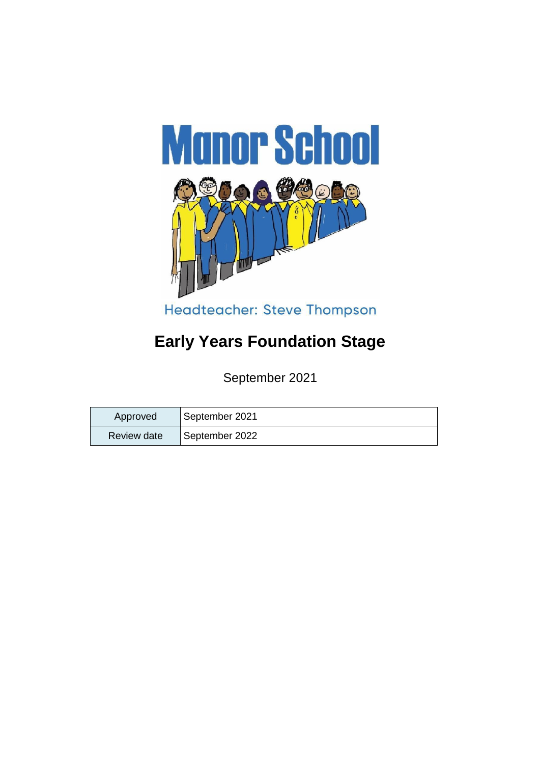

# **Early Years Foundation Stage**

September 2021

| Approved    | September 2021 |
|-------------|----------------|
| Review date | September 2022 |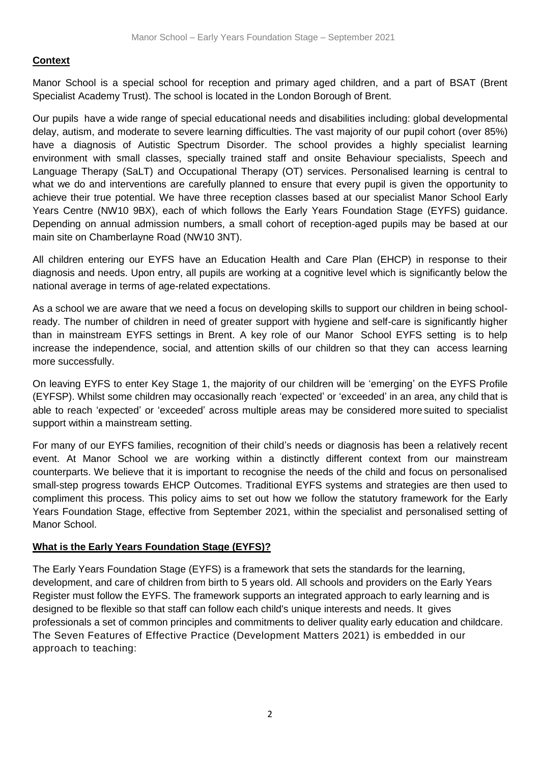#### **Context**

Manor School is a special school for reception and primary aged children, and a part of BSAT (Brent Specialist Academy Trust). The school is located in the London Borough of Brent.

Our pupils have a wide range of special educational needs and disabilities including: global developmental delay, autism, and moderate to severe learning difficulties. The vast majority of our pupil cohort (over 85%) have a diagnosis of Autistic Spectrum Disorder. The school provides a highly specialist learning environment with small classes, specially trained staff and onsite Behaviour specialists, Speech and Language Therapy (SaLT) and Occupational Therapy (OT) services. Personalised learning is central to what we do and interventions are carefully planned to ensure that every pupil is given the opportunity to achieve their true potential. We have three reception classes based at our specialist Manor School Early Years Centre (NW10 9BX), each of which follows the Early Years Foundation Stage (EYFS) guidance. Depending on annual admission numbers, a small cohort of reception-aged pupils may be based at our main site on Chamberlayne Road (NW10 3NT).

All children entering our EYFS have an Education Health and Care Plan (EHCP) in response to their diagnosis and needs. Upon entry, all pupils are working at a cognitive level which is significantly below the national average in terms of age-related expectations.

As a school we are aware that we need a focus on developing skills to support our children in being schoolready. The number of children in need of greater support with hygiene and self-care is significantly higher than in mainstream EYFS settings in Brent. A key role of our Manor School EYFS setting is to help increase the independence, social, and attention skills of our children so that they can access learning more successfully.

On leaving EYFS to enter Key Stage 1, the majority of our children will be 'emerging' on the EYFS Profile (EYFSP). Whilst some children may occasionally reach 'expected' or 'exceeded' in an area, any child that is able to reach 'expected' or 'exceeded' across multiple areas may be considered more suited to specialist support within a mainstream setting.

For many of our EYFS families, recognition of their child's needs or diagnosis has been a relatively recent event. At Manor School we are working within a distinctly different context from our mainstream counterparts. We believe that it is important to recognise the needs of the child and focus on personalised small-step progress towards EHCP Outcomes. Traditional EYFS systems and strategies are then used to compliment this process. This policy aims to set out how we follow the statutory framework for the Early Years Foundation Stage, effective from September 2021, within the specialist and personalised setting of Manor School.

#### **What is the Early Years Foundation Stage (EYFS)?**

The Early Years Foundation Stage (EYFS) is a framework that sets the standards for the learning, development, and care of children from birth to 5 years old. All schools and providers on the Early Years Register must follow the EYFS. The framework supports an integrated approach to early learning and is designed to be flexible so that staff can follow each child's unique interests and needs. It gives professionals a set of common principles and commitments to deliver quality early education and childcare. The Seven Features of Effective Practice (Development Matters 2021) is embedded in our approach to teaching: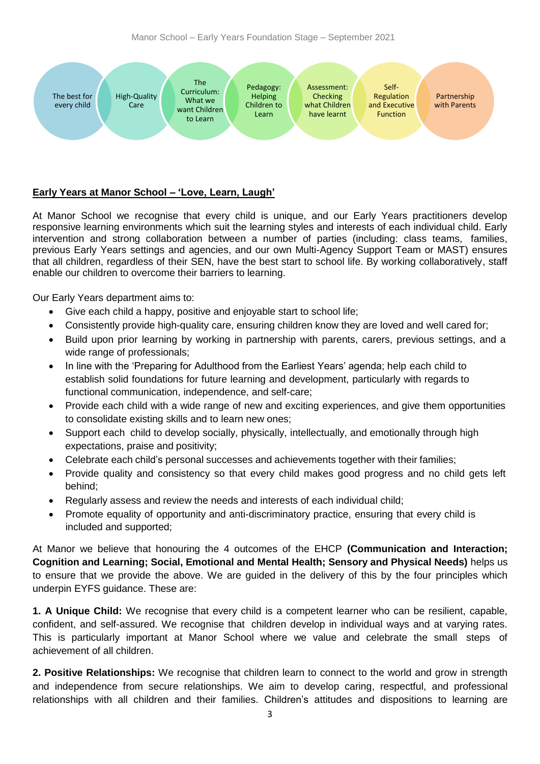

# **Early Years at Manor School – 'Love, Learn, Laugh'**

At Manor School we recognise that every child is unique, and our Early Years practitioners develop responsive learning environments which suit the learning styles and interests of each individual child. Early intervention and strong collaboration between a number of parties (including: class teams, families, previous Early Years settings and agencies, and our own Multi-Agency Support Team or MAST) ensures that all children, regardless of their SEN, have the best start to school life. By working collaboratively, staff enable our children to overcome their barriers to learning.

Our Early Years department aims to:

- Give each child a happy, positive and enjoyable start to school life;
- Consistently provide high-quality care, ensuring children know they are loved and well cared for;
- Build upon prior learning by working in partnership with parents, carers, previous settings, and a wide range of professionals;
- In line with the 'Preparing for Adulthood from the Earliest Years' agenda; help each child to establish solid foundations for future learning and development, particularly with regards to functional communication, independence, and self-care;
- Provide each child with a wide range of new and exciting experiences, and give them opportunities to consolidate existing skills and to learn new ones;
- Support each child to develop socially, physically, intellectually, and emotionally through high expectations, praise and positivity;
- Celebrate each child's personal successes and achievements together with their families;
- Provide quality and consistency so that every child makes good progress and no child gets left behind;
- Regularly assess and review the needs and interests of each individual child;
- Promote equality of opportunity and anti-discriminatory practice, ensuring that every child is included and supported;

At Manor we believe that honouring the 4 outcomes of the EHCP **(Communication and Interaction; Cognition and Learning; Social, Emotional and Mental Health; Sensory and Physical Needs)** helps us to ensure that we provide the above. We are guided in the delivery of this by the four principles which underpin EYFS guidance. These are:

**1. A Unique Child:** We recognise that every child is a competent learner who can be resilient, capable, confident, and self-assured. We recognise that children develop in individual ways and at varying rates. This is particularly important at Manor School where we value and celebrate the small steps of achievement of all children.

**2. Positive Relationships:** We recognise that children learn to connect to the world and grow in strength and independence from secure relationships. We aim to develop caring, respectful, and professional relationships with all children and their families. Children's attitudes and dispositions to learning are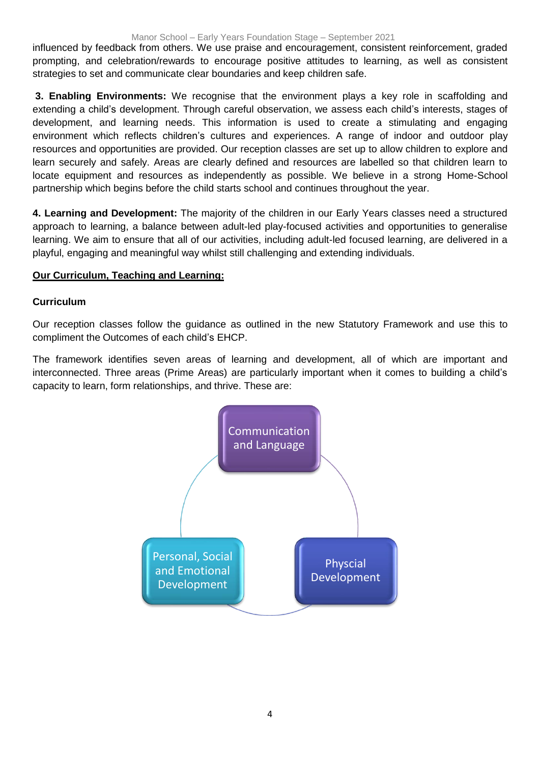#### Manor School – Early Years Foundation Stage – September 2021

influenced by feedback from others. We use praise and encouragement, consistent reinforcement, graded prompting, and celebration/rewards to encourage positive attitudes to learning, as well as consistent strategies to set and communicate clear boundaries and keep children safe.

**3. Enabling Environments:** We recognise that the environment plays a key role in scaffolding and extending a child's development. Through careful observation, we assess each child's interests, stages of development, and learning needs. This information is used to create a stimulating and engaging environment which reflects children's cultures and experiences. A range of indoor and outdoor play resources and opportunities are provided. Our reception classes are set up to allow children to explore and learn securely and safely. Areas are clearly defined and resources are labelled so that children learn to locate equipment and resources as independently as possible. We believe in a strong Home-School partnership which begins before the child starts school and continues throughout the year.

**4. Learning and Development:** The majority of the children in our Early Years classes need a structured approach to learning, a balance between adult-led play-focused activities and opportunities to generalise learning. We aim to ensure that all of our activities, including adult-led focused learning, are delivered in a playful, engaging and meaningful way whilst still challenging and extending individuals.

#### **Our Curriculum, Teaching and Learning:**

#### **Curriculum**

Our reception classes follow the guidance as outlined in the new Statutory Framework and use this to compliment the Outcomes of each child's EHCP.

The framework identifies seven areas of learning and development, all of which are important and interconnected. Three areas (Prime Areas) are particularly important when it comes to building a child's capacity to learn, form relationships, and thrive. These are:

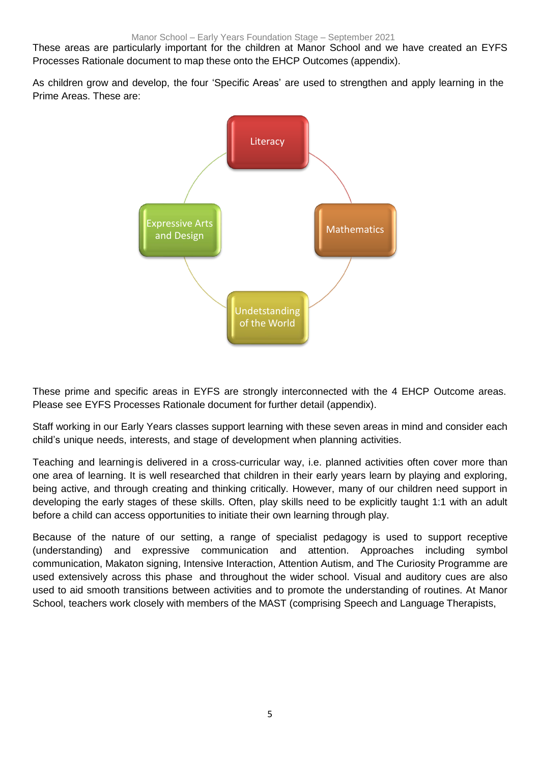These areas are particularly important for the children at Manor School and we have created an EYFS Processes Rationale document to map these onto the EHCP Outcomes (appendix).

As children grow and develop, the four 'Specific Areas' are used to strengthen and apply learning in the Prime Areas. These are:



These prime and specific areas in EYFS are strongly interconnected with the 4 EHCP Outcome areas. Please see EYFS Processes Rationale document for further detail (appendix).

Staff working in our Early Years classes support learning with these seven areas in mind and consider each child's unique needs, interests, and stage of development when planning activities.

Teaching and learningis delivered in a cross-curricular way, i.e. planned activities often cover more than one area of learning. It is well researched that children in their early years learn by playing and exploring, being active, and through creating and thinking critically. However, many of our children need support in developing the early stages of these skills. Often, play skills need to be explicitly taught 1:1 with an adult before a child can access opportunities to initiate their own learning through play.

Because of the nature of our setting, a range of specialist pedagogy is used to support receptive (understanding) and expressive communication and attention. Approaches including symbol communication, Makaton signing, Intensive Interaction, Attention Autism, and The Curiosity Programme are used extensively across this phase and throughout the wider school. Visual and auditory cues are also used to aid smooth transitions between activities and to promote the understanding of routines. At Manor School, teachers work closely with members of the MAST (comprising Speech and Language Therapists,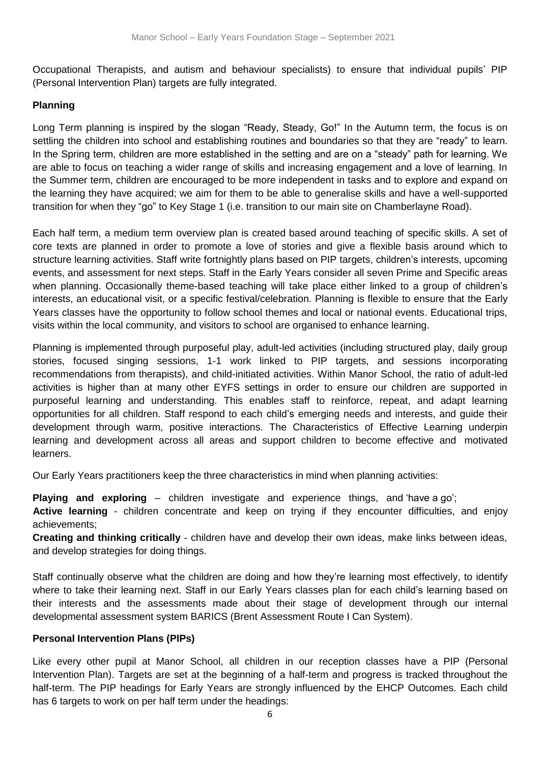Occupational Therapists, and autism and behaviour specialists) to ensure that individual pupils' PIP (Personal Intervention Plan) targets are fully integrated.

### **Planning**

Long Term planning is inspired by the slogan "Ready, Steady, Go!" In the Autumn term, the focus is on settling the children into school and establishing routines and boundaries so that they are "ready" to learn. In the Spring term, children are more established in the setting and are on a "steady" path for learning. We are able to focus on teaching a wider range of skills and increasing engagement and a love of learning. In the Summer term, children are encouraged to be more independent in tasks and to explore and expand on the learning they have acquired; we aim for them to be able to generalise skills and have a well-supported transition for when they "go" to Key Stage 1 (i.e. transition to our main site on Chamberlayne Road).

Each half term, a medium term overview plan is created based around teaching of specific skills. A set of core texts are planned in order to promote a love of stories and give a flexible basis around which to structure learning activities. Staff write fortnightly plans based on PIP targets, children's interests, upcoming events, and assessment for next steps. Staff in the Early Years consider all seven Prime and Specific areas when planning. Occasionally theme-based teaching will take place either linked to a group of children's interests, an educational visit, or a specific festival/celebration. Planning is flexible to ensure that the Early Years classes have the opportunity to follow school themes and local or national events. Educational trips, visits within the local community, and visitors to school are organised to enhance learning.

Planning is implemented through purposeful play, adult-led activities (including structured play, daily group stories, focused singing sessions, 1-1 work linked to PIP targets, and sessions incorporating recommendations from therapists), and child-initiated activities. Within Manor School, the ratio of adult-led activities is higher than at many other EYFS settings in order to ensure our children are supported in purposeful learning and understanding. This enables staff to reinforce, repeat, and adapt learning opportunities for all children. Staff respond to each child's emerging needs and interests, and guide their development through warm, positive interactions. The Characteristics of Effective Learning underpin learning and development across all areas and support children to become effective and motivated learners.

Our Early Years practitioners keep the three characteristics in mind when planning activities:

**Playing and exploring** – children investigate and experience things, and 'have a go';

**Active learning** - children concentrate and keep on trying if they encounter difficulties, and enjoy achievements;

**Creating and thinking critically** - children have and develop their own ideas, make links between ideas, and develop strategies for doing things.

Staff continually observe what the children are doing and how they're learning most effectively, to identify where to take their learning next. Staff in our Early Years classes plan for each child's learning based on their interests and the assessments made about their stage of development through our internal developmental assessment system BARICS (Brent Assessment Route I Can System).

#### **Personal Intervention Plans (PIPs)**

Like every other pupil at Manor School, all children in our reception classes have a PIP (Personal Intervention Plan). Targets are set at the beginning of a half-term and progress is tracked throughout the half-term. The PIP headings for Early Years are strongly influenced by the EHCP Outcomes. Each child has 6 targets to work on per half term under the headings: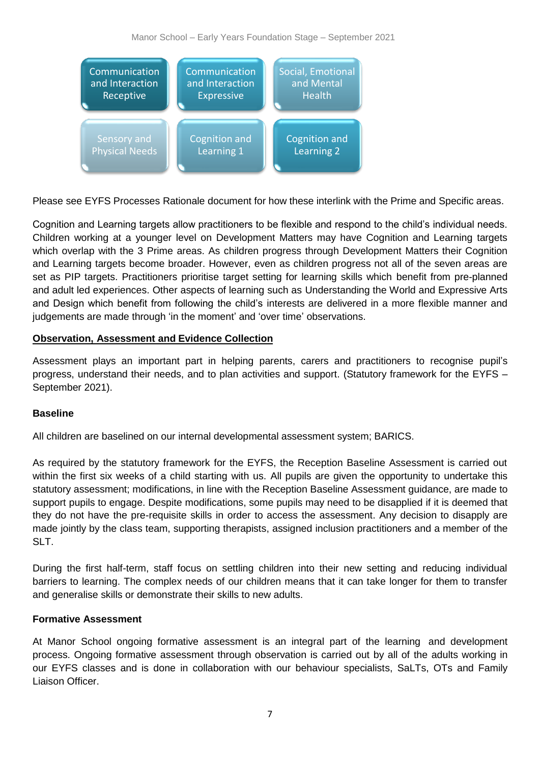

Please see EYFS Processes Rationale document for how these interlink with the Prime and Specific areas.

Cognition and Learning targets allow practitioners to be flexible and respond to the child's individual needs. Children working at a younger level on Development Matters may have Cognition and Learning targets which overlap with the 3 Prime areas. As children progress through Development Matters their Cognition and Learning targets become broader. However, even as children progress not all of the seven areas are set as PIP targets. Practitioners prioritise target setting for learning skills which benefit from pre-planned and adult led experiences. Other aspects of learning such as Understanding the World and Expressive Arts and Design which benefit from following the child's interests are delivered in a more flexible manner and judgements are made through 'in the moment' and 'over time' observations.

# **Observation, Assessment and Evidence Collection**

Assessment plays an important part in helping parents, carers and practitioners to recognise pupil's progress, understand their needs, and to plan activities and support. (Statutory framework for the EYFS – September 2021).

# **Baseline**

All children are baselined on our internal developmental assessment system; BARICS.

As required by the statutory framework for the EYFS, the Reception Baseline Assessment is carried out within the first six weeks of a child starting with us. All pupils are given the opportunity to undertake this statutory assessment; modifications, in line with the Reception Baseline Assessment guidance, are made to support pupils to engage. Despite modifications, some pupils may need to be disapplied if it is deemed that they do not have the pre-requisite skills in order to access the assessment. Any decision to disapply are made jointly by the class team, supporting therapists, assigned inclusion practitioners and a member of the SLT.

During the first half-term, staff focus on settling children into their new setting and reducing individual barriers to learning. The complex needs of our children means that it can take longer for them to transfer and generalise skills or demonstrate their skills to new adults.

# **Formative Assessment**

At Manor School ongoing formative assessment is an integral part of the learning and development process. Ongoing formative assessment through observation is carried out by all of the adults working in our EYFS classes and is done in collaboration with our behaviour specialists, SaLTs, OTs and Family Liaison Officer.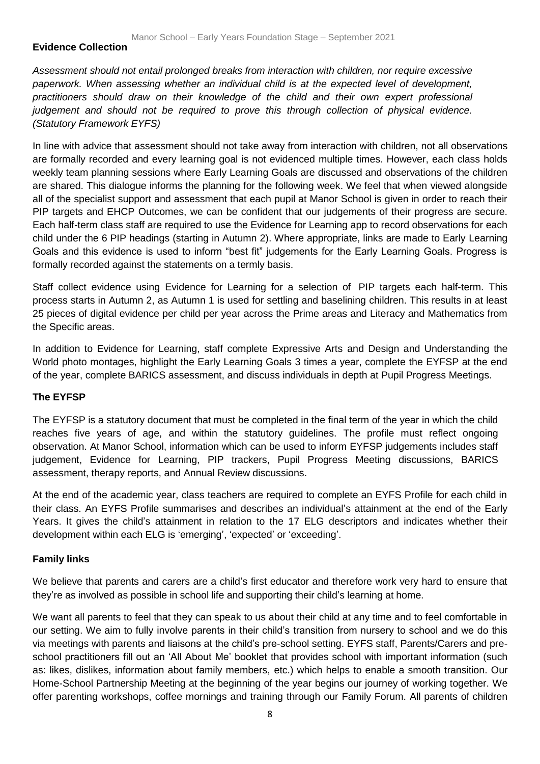### **Evidence Collection**

*Assessment should not entail prolonged breaks from interaction with children, nor require excessive paperwork. When assessing whether an individual child is at the expected level of development, practitioners should draw on their knowledge of the child and their own expert professional judgement and should not be required to prove this through collection of physical evidence. (Statutory Framework EYFS)*

In line with advice that assessment should not take away from interaction with children, not all observations are formally recorded and every learning goal is not evidenced multiple times. However, each class holds weekly team planning sessions where Early Learning Goals are discussed and observations of the children are shared. This dialogue informs the planning for the following week. We feel that when viewed alongside all of the specialist support and assessment that each pupil at Manor School is given in order to reach their PIP targets and EHCP Outcomes, we can be confident that our judgements of their progress are secure. Each half-term class staff are required to use the Evidence for Learning app to record observations for each child under the 6 PIP headings (starting in Autumn 2). Where appropriate, links are made to Early Learning Goals and this evidence is used to inform "best fit" judgements for the Early Learning Goals. Progress is formally recorded against the statements on a termly basis.

Staff collect evidence using Evidence for Learning for a selection of PIP targets each half-term. This process starts in Autumn 2, as Autumn 1 is used for settling and baselining children. This results in at least 25 pieces of digital evidence per child per year across the Prime areas and Literacy and Mathematics from the Specific areas.

In addition to Evidence for Learning, staff complete Expressive Arts and Design and Understanding the World photo montages, highlight the Early Learning Goals 3 times a year, complete the EYFSP at the end of the year, complete BARICS assessment, and discuss individuals in depth at Pupil Progress Meetings.

#### **The EYFSP**

The EYFSP is a statutory document that must be completed in the final term of the year in which the child reaches five years of age, and within the statutory guidelines. The profile must reflect ongoing observation. At Manor School, information which can be used to inform EYFSP judgements includes staff judgement, Evidence for Learning, PIP trackers, Pupil Progress Meeting discussions, BARICS assessment, therapy reports, and Annual Review discussions.

At the end of the academic year, class teachers are required to complete an EYFS Profile for each child in their class. An EYFS Profile summarises and describes an individual's attainment at the end of the Early Years. It gives the child's attainment in relation to the 17 ELG descriptors and indicates whether their development within each ELG is 'emerging', 'expected' or 'exceeding'.

# **Family links**

We believe that parents and carers are a child's first educator and therefore work very hard to ensure that they're as involved as possible in school life and supporting their child's learning at home.

We want all parents to feel that they can speak to us about their child at any time and to feel comfortable in our setting. We aim to fully involve parents in their child's transition from nursery to school and we do this via meetings with parents and liaisons at the child's pre-school setting. EYFS staff, Parents/Carers and preschool practitioners fill out an 'All About Me' booklet that provides school with important information (such as: likes, dislikes, information about family members, etc.) which helps to enable a smooth transition. Our Home-School Partnership Meeting at the beginning of the year begins our journey of working together. We offer parenting workshops, coffee mornings and training through our Family Forum. All parents of children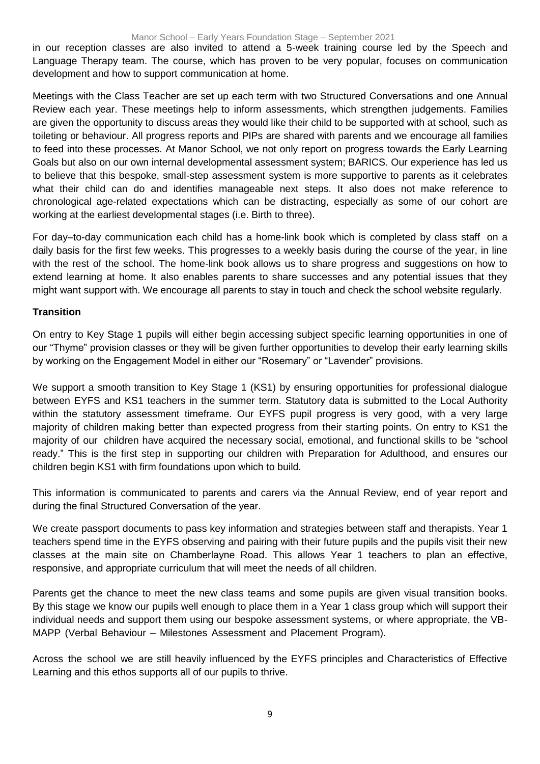#### Manor School – Early Years Foundation Stage – September 2021

in our reception classes are also invited to attend a 5-week training course led by the Speech and Language Therapy team. The course, which has proven to be very popular, focuses on communication development and how to support communication at home.

Meetings with the Class Teacher are set up each term with two Structured Conversations and one Annual Review each year. These meetings help to inform assessments, which strengthen judgements. Families are given the opportunity to discuss areas they would like their child to be supported with at school, such as toileting or behaviour. All progress reports and PIPs are shared with parents and we encourage all families to feed into these processes. At Manor School, we not only report on progress towards the Early Learning Goals but also on our own internal developmental assessment system; BARICS. Our experience has led us to believe that this bespoke, small-step assessment system is more supportive to parents as it celebrates what their child can do and identifies manageable next steps. It also does not make reference to chronological age-related expectations which can be distracting, especially as some of our cohort are working at the earliest developmental stages (i.e. Birth to three).

For day–to-day communication each child has a home-link book which is completed by class staff on a daily basis for the first few weeks. This progresses to a weekly basis during the course of the year, in line with the rest of the school. The home-link book allows us to share progress and suggestions on how to extend learning at home. It also enables parents to share successes and any potential issues that they might want support with. We encourage all parents to stay in touch and check the school website regularly.

#### **Transition**

On entry to Key Stage 1 pupils will either begin accessing subject specific learning opportunities in one of our "Thyme" provision classes or they will be given further opportunities to develop their early learning skills by working on the Engagement Model in either our "Rosemary" or "Lavender" provisions.

We support a smooth transition to Key Stage 1 (KS1) by ensuring opportunities for professional dialogue between EYFS and KS1 teachers in the summer term. Statutory data is submitted to the Local Authority within the statutory assessment timeframe. Our EYFS pupil progress is very good, with a very large majority of children making better than expected progress from their starting points. On entry to KS1 the majority of our children have acquired the necessary social, emotional, and functional skills to be "school ready." This is the first step in supporting our children with Preparation for Adulthood, and ensures our children begin KS1 with firm foundations upon which to build.

This information is communicated to parents and carers via the Annual Review, end of year report and during the final Structured Conversation of the year.

We create passport documents to pass key information and strategies between staff and therapists. Year 1 teachers spend time in the EYFS observing and pairing with their future pupils and the pupils visit their new classes at the main site on Chamberlayne Road. This allows Year 1 teachers to plan an effective, responsive, and appropriate curriculum that will meet the needs of all children.

Parents get the chance to meet the new class teams and some pupils are given visual transition books. By this stage we know our pupils well enough to place them in a Year 1 class group which will support their individual needs and support them using our bespoke assessment systems, or where appropriate, the VB-MAPP (Verbal Behaviour – Milestones Assessment and Placement Program).

Across the school we are still heavily influenced by the EYFS principles and Characteristics of Effective Learning and this ethos supports all of our pupils to thrive.